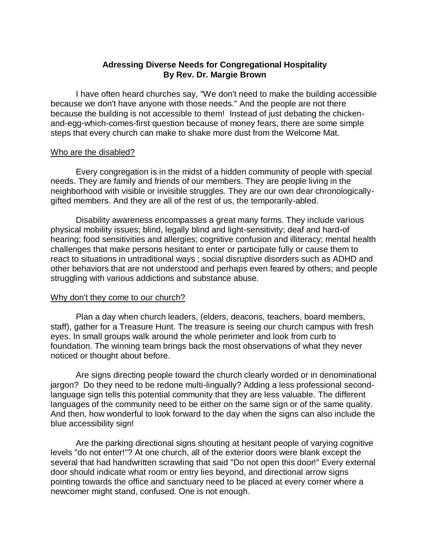# **Adressing Diverse Needs for Congregational Hospitality By Rev. Dr. Margie Brown**

I have often heard churches say, "We don't need to make the building accessible because we don't have anyone with those needs." And the people are not there because the building is not accessible to them! Instead of just debating the chickenand-egg-which-comes-first question because of money fears, there are some simple steps that every church can make to shake more dust from the Welcome Mat.

#### Who are the disabled?

Every congregation is in the midst of a hidden community of people with special needs. They are family and friends of our members. They are people living in the neighborhood with visible or invisible struggles. They are our own dear chronologicallygifted members. And they are all of the rest of us, the temporarily-abled.

Disability awareness encompasses a great many forms. They include various physical mobility issues; blind, legally blind and light-sensitivity; deaf and hard-of hearing; food sensitivities and allergies; cognitive confusion and illiteracy; mental health challenges that make persons hesitant to enter or participate fully or cause them to react to situations in untraditional ways ; social disruptive disorders such as ADHD and other behaviors that are not understood and perhaps even feared by others; and people struggling with various addictions and substance abuse.

## Why don't they come to our church?

Plan a day when church leaders, (elders, deacons, teachers, board members, staff), gather for a Treasure Hunt. The treasure is seeing our church campus with fresh eyes. In small groups walk around the whole perimeter and look from curb to foundation. The winning team brings back the most observations of what they never noticed or thought about before.

Are signs directing people toward the church clearly worded or in denominational jargon? Do they need to be redone multi-lingually? Adding a less professional secondlanguage sign tells this potential community that they are less valuable. The different languages of the community need to be either on the same sign or of the same quality. And then, how wonderful to look forward to the day when the signs can also include the blue accessibility sign!

Are the parking directional signs shouting at hesitant people of varying cognitive levels "do not enter!"? At one church, all of the exterior doors were blank except the several that had handwritten scrawling that said "Do not open this door!" Every external door should indicate what room or entry lies beyond, and directional arrow signs pointing towards the office and sanctuary need to be placed at every corner where a newcomer might stand, confused. One is not enough.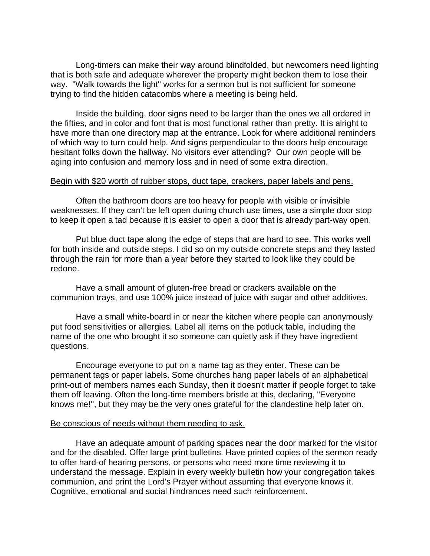Long-timers can make their way around blindfolded, but newcomers need lighting that is both safe and adequate wherever the property might beckon them to lose their way. "Walk towards the light" works for a sermon but is not sufficient for someone trying to find the hidden catacombs where a meeting is being held.

Inside the building, door signs need to be larger than the ones we all ordered in the fifties, and in color and font that is most functional rather than pretty. It is alright to have more than one directory map at the entrance. Look for where additional reminders of which way to turn could help. And signs perpendicular to the doors help encourage hesitant folks down the hallway. No visitors ever attending? Our own people will be aging into confusion and memory loss and in need of some extra direction.

#### Begin with \$20 worth of rubber stops, duct tape, crackers, paper labels and pens.

Often the bathroom doors are too heavy for people with visible or invisible weaknesses. If they can't be left open during church use times, use a simple door stop to keep it open a tad because it is easier to open a door that is already part-way open.

Put blue duct tape along the edge of steps that are hard to see. This works well for both inside and outside steps. I did so on my outside concrete steps and they lasted through the rain for more than a year before they started to look like they could be redone.

Have a small amount of gluten-free bread or crackers available on the communion trays, and use 100% juice instead of juice with sugar and other additives.

Have a small white-board in or near the kitchen where people can anonymously put food sensitivities or allergies. Label all items on the potluck table, including the name of the one who brought it so someone can quietly ask if they have ingredient questions.

Encourage everyone to put on a name tag as they enter. These can be permanent tags or paper labels. Some churches hang paper labels of an alphabetical print-out of members names each Sunday, then it doesn't matter if people forget to take them off leaving. Often the long-time members bristle at this, declaring, "Everyone knows me!", but they may be the very ones grateful for the clandestine help later on.

#### Be conscious of needs without them needing to ask.

Have an adequate amount of parking spaces near the door marked for the visitor and for the disabled. Offer large print bulletins. Have printed copies of the sermon ready to offer hard-of hearing persons, or persons who need more time reviewing it to understand the message. Explain in every weekly bulletin how your congregation takes communion, and print the Lord's Prayer without assuming that everyone knows it. Cognitive, emotional and social hindrances need such reinforcement.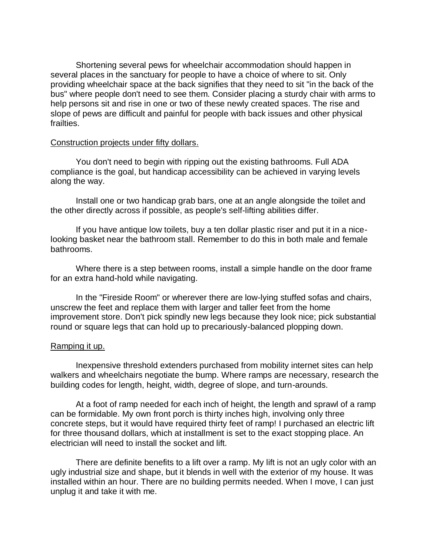Shortening several pews for wheelchair accommodation should happen in several places in the sanctuary for people to have a choice of where to sit. Only providing wheelchair space at the back signifies that they need to sit "in the back of the bus" where people don't need to see them. Consider placing a sturdy chair with arms to help persons sit and rise in one or two of these newly created spaces. The rise and slope of pews are difficult and painful for people with back issues and other physical frailties.

### Construction projects under fifty dollars.

You don't need to begin with ripping out the existing bathrooms. Full ADA compliance is the goal, but handicap accessibility can be achieved in varying levels along the way.

Install one or two handicap grab bars, one at an angle alongside the toilet and the other directly across if possible, as people's self-lifting abilities differ.

If you have antique low toilets, buy a ten dollar plastic riser and put it in a nicelooking basket near the bathroom stall. Remember to do this in both male and female bathrooms.

Where there is a step between rooms, install a simple handle on the door frame for an extra hand-hold while navigating.

In the "Fireside Room" or wherever there are low-lying stuffed sofas and chairs, unscrew the feet and replace them with larger and taller feet from the home improvement store. Don't pick spindly new legs because they look nice; pick substantial round or square legs that can hold up to precariously-balanced plopping down.

## Ramping it up.

Inexpensive threshold extenders purchased from mobility internet sites can help walkers and wheelchairs negotiate the bump. Where ramps are necessary, research the building codes for length, height, width, degree of slope, and turn-arounds.

At a foot of ramp needed for each inch of height, the length and sprawl of a ramp can be formidable. My own front porch is thirty inches high, involving only three concrete steps, but it would have required thirty feet of ramp! I purchased an electric lift for three thousand dollars, which at installment is set to the exact stopping place. An electrician will need to install the socket and lift.

There are definite benefits to a lift over a ramp. My lift is not an ugly color with an ugly industrial size and shape, but it blends in well with the exterior of my house. It was installed within an hour. There are no building permits needed. When I move, I can just unplug it and take it with me.